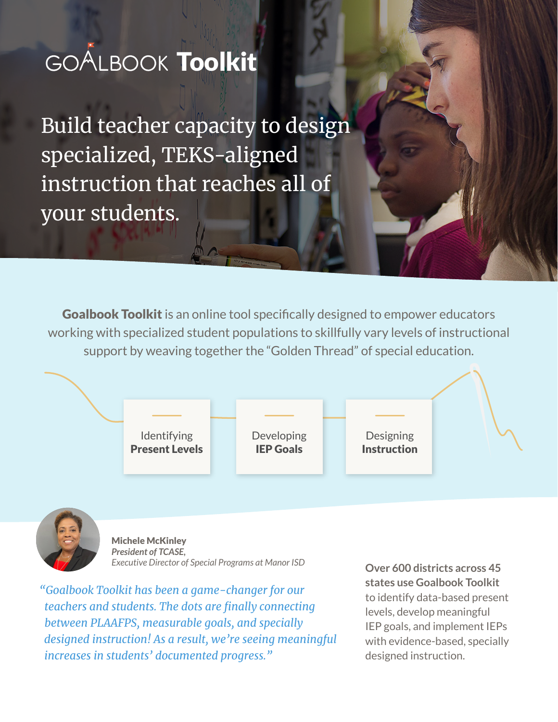# GOALBOOK Toolkit

Build teacher capacity to design specialized, TEKS-aligned instruction that reaches all of your students.

**Goalbook Toolkit** is an online tool specifically designed to empower educators working with specialized student populations to skillfully vary levels of instructional support by weaving together the "Golden Thread" of special education.





Michele McKinley *President of TCASE, Executive Director of Special Programs at Manor ISD* **Over 600 districts across 45** 

*"Goalbook Toolkit has been a game-changer for our teachers and students. The dots are finally connecting between PLAAFPS, measurable goals, and specially designed instruction! As a result, we're seeing meaningful increases in students' documented progress."*

**states use Goalbook Toolkit**  to identify data-based present levels, develop meaningful IEP goals, and implement IEPs with evidence-based, specially designed instruction.